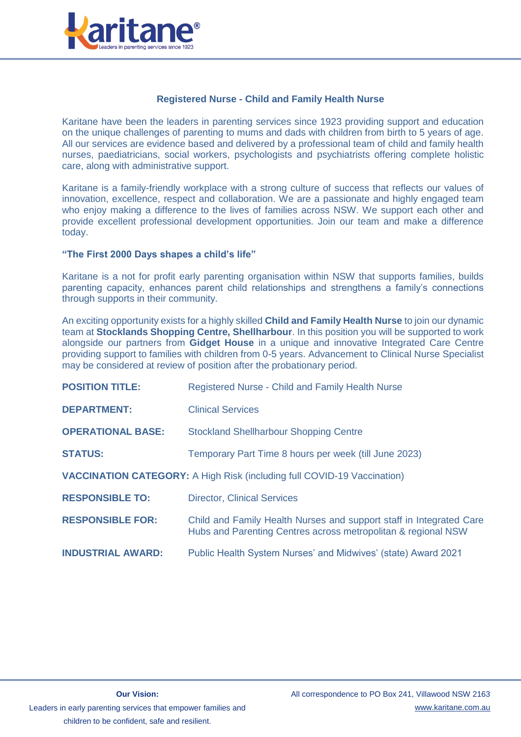

# **Registered Nurse - Child and Family Health Nurse**

Karitane have been the leaders in parenting services since 1923 providing support and education on the unique challenges of parenting to mums and dads with children from birth to 5 years of age. All our services are evidence based and delivered by a professional team of child and family health nurses, paediatricians, social workers, psychologists and psychiatrists offering complete holistic care, along with administrative support.

Karitane is a family-friendly workplace with a strong culture of success that reflects our values of innovation, excellence, respect and collaboration. We are a passionate and highly engaged team who enjoy making a difference to the lives of families across NSW. We support each other and provide excellent professional development opportunities. Join our team and make a difference today.

### **"The First 2000 Days shapes a child's life"**

Karitane is a not for profit early parenting organisation within NSW that supports families, builds parenting capacity, enhances parent child relationships and strengthens a family's connections through supports in their community.

An exciting opportunity exists for a highly skilled **Child and Family Health Nurse** to join our dynamic team at **Stocklands Shopping Centre, Shellharbour**. In this position you will be supported to work alongside our partners from **Gidget House** in a unique and innovative Integrated Care Centre providing support to families with children from 0-5 years. Advancement to Clinical Nurse Specialist may be considered at review of position after the probationary period.

| <b>POSITION TITLE:</b>                                                         | <b>Registered Nurse - Child and Family Health Nurse</b>                                                                              |
|--------------------------------------------------------------------------------|--------------------------------------------------------------------------------------------------------------------------------------|
| <b>DEPARTMENT:</b>                                                             | <b>Clinical Services</b>                                                                                                             |
| <b>OPERATIONAL BASE:</b>                                                       | <b>Stockland Shellharbour Shopping Centre</b>                                                                                        |
| <b>STATUS:</b>                                                                 | Temporary Part Time 8 hours per week (till June 2023)                                                                                |
| <b>VACCINATION CATEGORY:</b> A High Risk (including full COVID-19 Vaccination) |                                                                                                                                      |
| <b>RESPONSIBLE TO:</b>                                                         | <b>Director, Clinical Services</b>                                                                                                   |
| <b>RESPONSIBLE FOR:</b>                                                        | Child and Family Health Nurses and support staff in Integrated Care<br>Hubs and Parenting Centres across metropolitan & regional NSW |
| <b>INDUSTRIAL AWARD:</b>                                                       | Public Health System Nurses' and Midwives' (state) Award 2021                                                                        |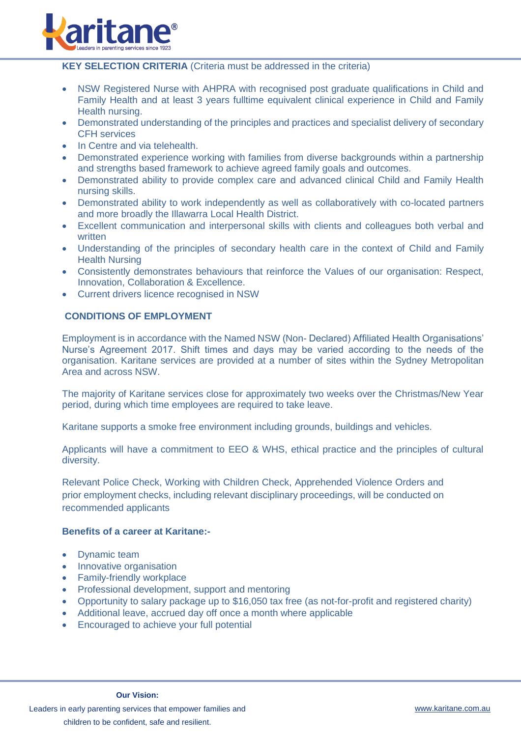

### **KEY SELECTION CRITERIA** (Criteria must be addressed in the criteria)

- NSW Registered Nurse with AHPRA with recognised post graduate qualifications in Child and Family Health and at least 3 years fulltime equivalent clinical experience in Child and Family Health nursing.
- Demonstrated understanding of the principles and practices and specialist delivery of secondary CFH services
- In Centre and via telehealth.
- Demonstrated experience working with families from diverse backgrounds within a partnership and strengths based framework to achieve agreed family goals and outcomes.
- Demonstrated ability to provide complex care and advanced clinical Child and Family Health nursing skills.
- Demonstrated ability to work independently as well as collaboratively with co-located partners and more broadly the Illawarra Local Health District.
- Excellent communication and interpersonal skills with clients and colleagues both verbal and written
- Understanding of the principles of secondary health care in the context of Child and Family Health Nursing
- Consistently demonstrates behaviours that reinforce the Values of our organisation: Respect, Innovation, Collaboration & Excellence.
- Current drivers licence recognised in NSW

# **CONDITIONS OF EMPLOYMENT**

Employment is in accordance with the Named NSW (Non- Declared) Affiliated Health Organisations' Nurse's Agreement 2017. Shift times and days may be varied according to the needs of the organisation. Karitane services are provided at a number of sites within the Sydney Metropolitan Area and across NSW.

The majority of Karitane services close for approximately two weeks over the Christmas/New Year period, during which time employees are required to take leave.

Karitane supports a smoke free environment including grounds, buildings and vehicles.

Applicants will have a commitment to EEO & WHS, ethical practice and the principles of cultural diversity.

Relevant Police Check, Working with Children Check, Apprehended Violence Orders and prior employment checks, including relevant disciplinary proceedings, will be conducted on recommended applicants

# **Benefits of a career at Karitane:-**

- Dynamic team
- Innovative organisation
- Family-friendly workplace
- Professional development, support and mentoring
- Opportunity to salary package up to \$16,050 tax free (as not-for-profit and registered charity)
- Additional leave, accrued day off once a month where applicable
- Encouraged to achieve your full potential